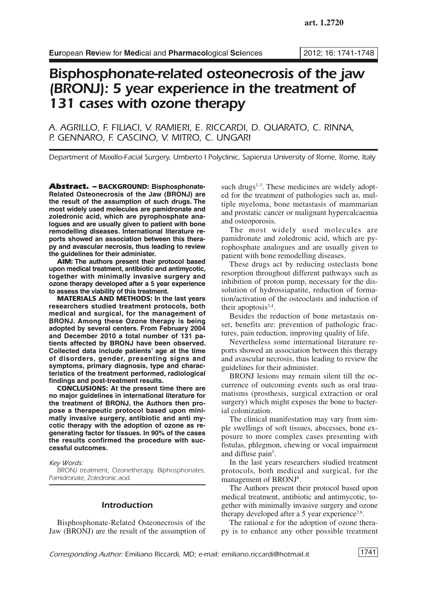# *Bisphosphonate-related osteonecrosis of the jaw (BRONJ): 5 year experience in the treatment of 131 cases with ozone therapy*

*A. AGRILLO, F. FILIACI, V. RAMIERI, E. RICCARDI, D. QUARATO, C. RINNA, P. GENNARO, F. CASCINO, V. MITRO, C. UNGARI*

*Department of Maxillo-Facial Surgery, Umberto I Polyclinic, Sapienza University of Rome, Rome, Italy*

*Abstract. –* **BACKGROUND: Bisphosphonate-Related Osteonecrosis of the Jaw (BRONJ) are the result of the assumption of such drugs. The most widely used molecules are pamidronate and zoledronic acid, which are pyrophosphate analogues and are usually given to patient with bone remodelling diseases. International literature reports showed an association between this therapy and avascular necrosis, thus leading to review the guidelines for their administer.**

**AIM: The authors present their protocol based upon medical treatment, antibiotic and antimycotic, together with minimally invasive surgery and ozone therapy developed after a 5 year experience to assess the viability of this treatment.**

**MATERIALS AND METHODS: In the last years researchers studied treatment protocols, both medical and surgical, for the management of BRONJ. Among these Ozone therapy is being adopted by several centers. From February 2004 and December 2010 a total number of 131 patients affected by BRONJ have been observed. Collected data include patients' age at the time of disorders, gender, presenting signs and symptoms, primary diagnosis, type and characteristics of the treatment performed, radiological findings and post-treatment results.**

**CONCLUSIONS: At the present time there are no major guidelines in international literature for the treatment of BRONJ, the Authors then propose a therapeutic protocol based upon minimally invasive surgery, antibiotic and anti mycotic therapy with the adoption of ozone as regenerating factor for tissues. In 90% of the cases the results confirmed the procedure with successful outcomes.**

*Key Words:*

*BRONJ treatment, Ozonetherapy, Biphosphonates, Pamidronate, Zoledronic acid.*

## *Introduction*

Bisphosphonate-Related Osteonecrosis of the Jaw (BRONJ) are the result of the assumption of

such drugs<sup>1-3</sup>. These medicines are widely adopted for the treatment of pathologies such as, multiple myeloma, bone metastasis of mammarian and prostatic cancer or malignant hypercalcaemia and osteoporosis.

The most widely used molecules are pamidronate and zoledronic acid, which are pyrophosphate analogues and are usually given to patient with bone remodelling diseases.

These drugs act by reducing osteclasts bone resorption throughout different pathways such as inhibition of proton pump, necessary for the dissolution of hydrossiapatite, reduction of formation/activation of the osteoclasts and induction of their apoptosis<sup>3,4</sup>.

Besides the reduction of bone metastasis onset, benefits are: prevention of pathologic fractures, pain reduction, improving quality of life.

Nevertheless some international literature reports showed an association between this therapy and avascular necrosis, thus leading to review the guidelines for their administer.

BRONJ lesions may remain silent till the occurrence of outcoming events such as oral traumatisms (prosthesis, surgical extraction or oral surgery) which might exposes the bone to bacterial colonization.

The clinical manifestation may vary from simple swellings of soft tissues, abscesses, bone exposure to more complex cases presenting with fistulas, phlegmon, chewing or vocal impairment and diffuse pain<sup>5</sup>.

In the last years researchers studied treatment protocols, both medical and surgical, for the management of BRONJ<sup>6</sup>.

The Authors present their protocol based upon medical treatment, antibiotic and antimycotic, together with minimally invasive surgery and ozone therapy developed after a 5 year experience<sup>7,8</sup>.

The rational e for the adoption of ozone therapy is to enhance any other possible treatment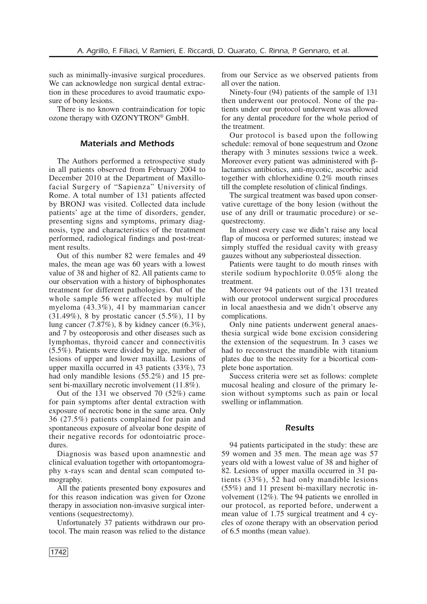such as minimally-invasive surgical procedures. We can acknowledge non surgical dental extraction in these procedures to avoid traumatic exposure of bony lesions.

There is no known contraindication for topic ozone therapy with OZONYTRON® GmbH.

# *Materials and Methods*

The Authors performed a retrospective study in all patients observed from February 2004 to December 2010 at the Department of Maxillofacial Surgery of "Sapienza" University of Rome. A total number of 131 patients affected by BRONJ was visited. Collected data include patients' age at the time of disorders, gender, presenting signs and symptoms, primary diagnosis, type and characteristics of the treatment performed, radiological findings and post-treatment results.

Out of this number 82 were females and 49 males, the mean age was 60 years with a lowest value of 38 and higher of 82. All patients came to our observation with a history of biphosphonates treatment for different pathologies. Out of the whole sample 56 were affected by multiple myeloma (43.3%), 41 by mammarian cancer (31.49%), 8 by prostatic cancer (5.5%), 11 by lung cancer (7.87%), 8 by kidney cancer (6.3%), and 7 by osteoporosis and other diseases such as lymphomas, thyroid cancer and connectivitis (5.5%). Patients were divided by age, number of lesions of upper and lower maxilla. Lesions of upper maxilla occurred in 43 patients (33%), 73 had only mandible lesions (55.2%) and 15 present bi-maxillary necrotic involvement  $(11.8\%).$ 

Out of the 131 we observed 70 (52%) came for pain symptoms after dental extraction with exposure of necrotic bone in the same area. Only 36 (27.5%) patients complained for pain and spontaneous exposure of alveolar bone despite of their negative records for odontoiatric procedures.

Diagnosis was based upon anamnestic and clinical evaluation together with ortopantomography x-rays scan and dental scan computed tomography.

All the patients presented bony exposures and for this reason indication was given for Ozone therapy in association non-invasive surgical interventions (sequestrectomy).

Unfortunately 37 patients withdrawn our protocol. The main reason was relied to the distance from our Service as we observed patients from all over the nation.

Ninety-four (94) patients of the sample of 131 then underwent our protocol. None of the patients under our protocol underwent was allowed for any dental procedure for the whole period of the treatment.

Our protocol is based upon the following schedule: removal of bone sequestrum and Ozone therapy with 3 minutes sessions twice a week. Moreover every patient was administered with βlactamics antibiotics, anti-mycotic, ascorbic acid together with chlorhexidine 0.2% mouth rinses till the complete resolution of clinical findings.

The surgical treatment was based upon conservative curettage of the bony lesion (without the use of any drill or traumatic procedure) or sequestrectomy.

In almost every case we didn't raise any local flap of mucosa or performed sutures; instead we simply stuffed the residual cavity with greasy gauzes without any subperiosteal dissection.

Patients were taught to do mouth rinses with sterile sodium hypochlorite 0.05% along the treatment.

Moreover 94 patients out of the 131 treated with our protocol underwent surgical procedures in local anaesthesia and we didn't observe any complications.

Only nine patients underwent general anaesthesia surgical wide bone excision considering the extension of the sequestrum. In 3 cases we had to reconstruct the mandible with titanium plates due to the necessity for a bicortical complete bone asportation.

Success criteria were set as follows: complete mucosal healing and closure of the primary lesion without symptoms such as pain or local swelling or inflammation.

## *Results*

94 patients participated in the study: these are 59 women and 35 men. The mean age was 57 years old with a lowest value of 38 and higher of 82. Lesions of upper maxilla occurred in 31 patients (33%), 52 had only mandible lesions (55%) and 11 present bi-maxillary necrotic involvement (12%). The 94 patients we enrolled in our protocol, as reported before, underwent a mean value of 1.75 surgical treatment and 4 cycles of ozone therapy with an observation period of 6.5 months (mean value).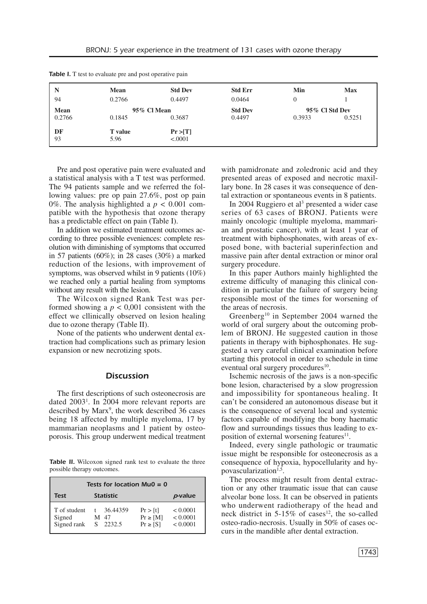|                       | <b>Mean</b>            | <b>Std Dev</b>        | <b>Std Err</b>           | Min    | <b>Max</b>               |
|-----------------------|------------------------|-----------------------|--------------------------|--------|--------------------------|
| 94                    | 0.2766                 | 0.4497                | 0.0464                   | 0      |                          |
| <b>Mean</b><br>0.2766 | 0.1845                 | 95% Cl Mean<br>0.3687 | <b>Std Dev</b><br>0.4497 | 0.3933 | 95% Cl Std Dev<br>0.5251 |
| DF<br>93              | <b>T</b> value<br>5.96 | Pr >  T <br>< .0001   |                          |        |                          |

**Table I.** T test to evaluate pre and post operative pain

Pre and post operative pain were evaluated and a statistical analysis with a T test was performed. The 94 patients sample and we referred the following values: pre op pain 27.6%, post op pain 0%. The analysis highlighted a  $p < 0.001$  compatible with the hypothesis that ozone therapy has a predictable effect on pain (Table I).

In addition we estimated treatment outcomes according to three possible eveniences: complete resolution with diminishing of symptoms that occurred in 57 patients (60%); in 28 cases (30%) a marked reduction of the lesions, with improvement of symptoms, was observed whilst in 9 patients (10%) we reached only a partial healing from symptoms without any result with the lesion.

The Wilcoxon signed Rank Test was performed showing a  $p < 0,001$  consistent with the effect we cllinically observed on lesion healing due to ozone therapy (Table II).

None of the patients who underwent dental extraction had complications such as primary lesion expansion or new necrotizing spots.

## *Discussion*

The first descriptions of such osteonecrosis are dated 2003<sup>1</sup>. In 2004 more relevant reports are described by Marx<sup>9</sup>, the work described 36 cases being 18 affected by multiple myeloma, 17 by mammarian neoplasms and 1 patient by osteoporosis. This group underwent medical treatment

*Table II.* Wilcoxon signed rank test to evaluate the three possible therapy outcomes.

| Tests for location $Mu0 = 0$          |                                  |                                            |                                  |  |  |  |
|---------------------------------------|----------------------------------|--------------------------------------------|----------------------------------|--|--|--|
| <b>Statistic</b><br>Test              |                                  |                                            | p-value                          |  |  |  |
| T of student<br>Signed<br>Signed rank | t $36.44359$<br>M 47<br>S 2232.5 | Pr > [t]<br>$Pr \geq  M $<br>$Pr \geq  S $ | < 0.0001<br>< 0.0001<br>< 0.0001 |  |  |  |

with pamidronate and zoledronic acid and they presented areas of exposed and necrotic maxillary bone. In 28 cases it was consequence of dental extraction or spontaneous events in 8 patients.

In 2004 Ruggiero et al <sup>3</sup> presented a wider case series of 63 cases of BRONJ. Patients were mainly oncologic (multiple myeloma, mammarian and prostatic cancer), with at least 1 year of treatment with biphosphonates, with areas of exposed bone, with bacterial superinfection and massive pain after dental extraction or minor oral surgery procedure.

In this paper Authors mainly highlighted the extreme difficulty of managing this clinical condition in particular the failure of surgery being responsible most of the times for worsening of the areas of necrosis.

Greenberg10 in September 2004 warned the world of oral surgery about the outcoming problem of BRONJ. He suggested caution in those patients in therapy with biphosphonates. He suggested a very careful clinical examination before starting this protocol in order to schedule in time eventual oral surgery procedures<sup>10</sup>.

Ischemic necrosis of the jaws is a non-specific bone lesion, characterised by a slow progression and impossibility for spontaneous healing. It can't be considered an autonomous disease but it is the consequence of several local and systemic factors capable of modifying the bony haematic flow and surroundings tissues thus leading to exposition of external worsening features<sup>11</sup>.

Indeed, every single pathologic or traumatic issue might be responsible for osteonecrosis as a consequence of hypoxia, hypocellularity and hypovascularization<sup>1,5</sup>.

The process might result from dental extraction or any other traumatic issue that can cause alveolar bone loss. It can be observed in patients who underwent radiotherapy of the head and neck district in  $5-15\%$  of cases<sup>12</sup>, the so-called osteo-radio-necrosis. Usually in 50% of cases occurs in the mandible after dental extraction.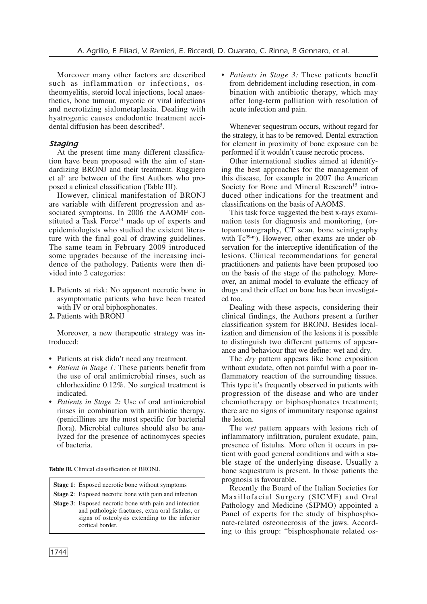Moreover many other factors are described such as inflammation or infections, ostheomyelitis, steroid local injections, local anaesthetics, bone tumour, mycotic or viral infections and necrotizing sialometaplasia. Dealing with hyatrogenic causes endodontic treatment accidental diffusion has been described<sup>5</sup>.

# *Staging*

At the present time many different classification have been proposed with the aim of standardizing BRONJ and their treatment. Ruggiero et al <sup>3</sup> are between of the first Authors who proposed a clinical classification (Table III).

However, clinical manifestation of BRONJ are variable with different progression and associated symptoms. In 2006 the AAOMF constituted a Task Force<sup>14</sup> made up of experts and epidemiologists who studied the existent literature with the final goal of drawing guidelines. The same team in February 2009 introduced some upgrades because of the increasing incidence of the pathology. Patients were then divided into 2 categories:

- **1.** Patients at risk: No apparent necrotic bone in asymptomatic patients who have been treated with IV or oral biphosphonates.
- **2.** Patients with BRONJ

Moreover, a new therapeutic strategy was introduced:

- **•** Patients at risk didn't need any treatment.
- **•** *Patient in Stage 1:* These patients benefit from the use of oral antimicrobial rinses, such as chlorhexidine 0.12%. No surgical treatment is indicated.
- **•** *Patients in Stage 2:* Use of oral antimicrobial rinses in combination with antibiotic therapy. (penicillines are the most specific for bacterial flora). Microbial cultures should also be analyzed for the presence of actinomyces species of bacteria.

*Table III.* Clinical classification of BRONJ.

- **Stage 1**: Exposed necrotic bone without symptoms
- **Stage 2**: Exposed necrotic bone with pain and infection
- **Stage 3**: Exposed necrotic bone with pain and infection and pathologic fractures, extra oral fistulas, or signs of osteolysis extending to the inferior cortical border.

**•** *Patients in Stage 3:* These patients benefit from debridement including resection, in combination with antibiotic therapy, which may offer long-term palliation with resolution of acute infection and pain.

Whenever sequestrum occurs, without regard for the strategy, it has to be removed. Dental extraction for element in proximity of bone exposure can be performed if it wouldn't cause necrotic process.

Other international studies aimed at identifying the best approaches for the management of this disease, for example in 2007 the American Society for Bone and Mineral Research<sup>15</sup> introduced other indications for the treatment and classifications on the basis of AAOMS.

This task force suggested the best x-rays examination tests for diagnosis and monitoring, (ortopantomography, CT scan, bone scintigraphy with Tc<sup>99-m</sup>). However, other exams are under observation for the interceptive identification of the lesions. Clinical recommendations for general practitioners and patients have been proposed too on the basis of the stage of the pathology. Moreover, an animal model to evaluate the efficacy of drugs and their effect on bone has been investigated too.

Dealing with these aspects, considering their clinical findings, the Authors present a further classification system for BRONJ. Besides localization and dimension of the lesions it is possible to distinguish two different patterns of appearance and behaviour that we define: wet and dry.

The *dry* pattern appears like bone exposition without exudate, often not painful with a poor inflammatory reaction of the surrounding tissues. This type it's frequently observed in patients with progression of the disease and who are under chemiotherapy or biphosphonates treatment; there are no signs of immunitary response against the lesion.

The *wet* pattern appears with lesions rich of inflammatory infiltration, purulent exudate, pain, presence of fistulas. More often it occurs in patient with good general conditions and with a stable stage of the underlying disease. Usually a bone sequestrum is present. In those patients the prognosis is favourable.

Recently the Board of the Italian Societies for Maxillofacial Surgery (SICMF) and Oral Pathology and Medicine (SIPMO) appointed a Panel of experts for the study of bisphosphonate-related osteonecrosis of the jaws. According to this group: "bisphosphonate related os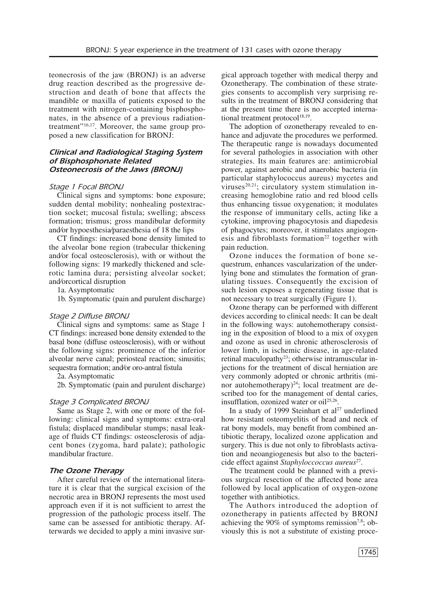teonecrosis of the jaw (BRONJ) is an adverse drug reaction described as the progressive destruction and death of bone that affects the mandible or maxilla of patients exposed to the treatment with nitrogen-containing bisphosphonates, in the absence of a previous radiationtreatment"<sup>16,17</sup>. Moreover, the same group proposed a new classification for BRONJ:

# *Clinical and Radiological Staging System of Bisphosphonate Related Osteonecrosis of the Jaws (BRONJ)*

### *Stage 1 Focal BRONJ*

Clinical signs and symptoms: bone exposure; sudden dental mobility; nonhealing postextraction socket; mucosal fistula; swelling; abscess formation; trismus; gross mandibular deformity and**⁄**or hypoesthesia**⁄**paraesthesia of 18 the lips

CT findings: increased bone density limited to the alveolar bone region (trabecular thickening and**⁄**or focal osteosclerosis), with or without the following signs: 19 markedly thickened and sclerotic lamina dura; persisting alveolar socket; and**⁄**orcortical disruption

1a. Asymptomatic

1b. Symptomatic (pain and purulent discharge)

#### *Stage 2 Diffuse BRONJ*

Clinical signs and symptoms: same as Stage 1 CT findings: increased bone density extended to the basal bone (diffuse osteosclerosis), with or without the following signs: prominence of the inferior alveolar nerve canal; periosteal reaction; sinusitis; sequestra formation; and**⁄**or oro-antral fistula

2a. Asymptomatic

2b. Symptomatic (pain and purulent discharge)

#### *Stage 3 Complicated BRONJ*

Same as Stage 2, with one or more of the following: clinical signs and symptoms: extra-oral fistula; displaced mandibular stumps; nasal leakage of fluids CT findings: osteosclerosis of adjacent bones (zygoma, hard palate); pathologic mandibular fracture.

### *The Ozone Therapy*

After careful review of the international literature it is clear that the surgical excision of the necrotic area in BRONJ represents the most used approach even if it is not sufficient to arrest the progression of the pathologic process itself. The same can be assessed for antibiotic therapy. Afterwards we decided to apply a mini invasive surgical approach together with medical therpy and Ozonetherapy. The combination of these strategies consents to accomplish very surprising results in the treatment of BRONJ considering that at the present time there is no accepted international treatment protocol<sup>18,19</sup>.

The adoption of ozonetherapy revealed to enhance and adjuvate the procedures we performed. The therapeutic range is nowadays documented for several pathologies in association with other strategies. Its main features are: antimicrobial power, against aerobic and anaerobic bacteria (in particular staphylococcus aureus) mycetes and viruses<sup>20,21</sup>; circulatory system stimulation increasing hemoglobine ratio and red blood cells thus enhancing tissue oxygenation; it modulates the response of immunitary cells, acting like a cytokine, improving phagocytosis and diapedesis of phagocytes; moreover, it stimulates angiogenesis and fibroblasts formation<sup>22</sup> together with pain reduction.

Ozone induces the formation of bone sequestrum, enhances vascularization of the underlying bone and stimulates the formation of granulating tissues. Consequently the excision of such lesion exposes a regenerating tissue that is not necessary to treat surgically (Figure 1).

Ozone therapy can be performed with different devices according to clinical needs: It can be dealt in the following ways: autohemotherapy consisting in the exposition of blood to a mix of oxygen and ozone as used in chronic atherosclerosis of lower limb, in ischemic disease, in age-related retinal maculopathy<sup>23</sup>; otherwise intramuscular injections for the treatment of discal herniation are very commonly adopted or chronic arthritis (minor autohemotherapy) $^{24}$ ; local treatment are described too for the management of dental caries, insufflation, ozonized water or oil 25,26 .

In a study of 1999 Steinhart et al <sup>27</sup> underlined how resistant osteomyelitis of head and neck of rat bony models, may benefit from combined antibiotic therapy, localized ozone application and surgery. This is due not only to fibroblasts activation and neoangiogenesis but also to the bactericide effect against *Staphyloccoccus aureus*<sup>27</sup> .

The treatment could be planned with a previous surgical resection of the affected bone area followed by local application of oxygen-ozone together with antibiotics.

The Authors introduced the adoption of ozonetherapy in patients affected by BRONJ achieving the  $90\%$  of symptoms remission<sup>7,8</sup>; obviously this is not a substitute of existing proce-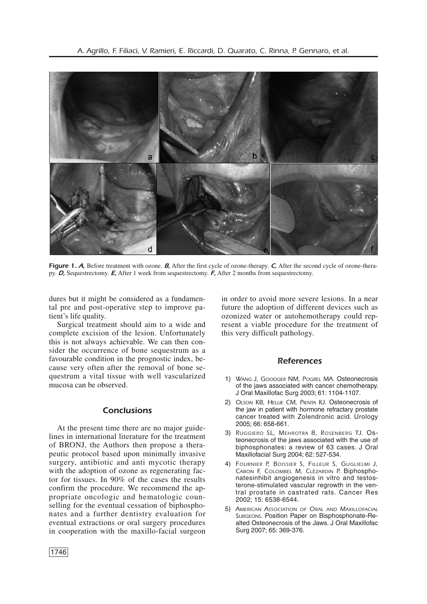

*Figure* 1. *A*, Before treatment with ozone. *B*, After the first cycle of ozone-therapy. *C*, After the second cycle of ozone-therapy. *D,* Sequestrectomy. *E,* After 1 week from sequestrectomy. *F,* After 2 months from sequestrectomy.

dures but it might be considered as a fundamental pre and post-operative step to improve patient's life quality.

Surgical treatment should aim to a wide and complete excision of the lesion. Unfortunately this is not always achievable. We can then consider the occurrence of bone sequestrum as a favourable condition in the prognostic index, because very often after the removal of bone sequestrum a vital tissue with well vascularized mucosa can be observed.

## *Conclusions*

At the present time there are no major guidelines in international literature for the treatment of BRONJ, the Authors then propose a therapeutic protocol based upon minimally invasive surgery, antibiotic and anti mycotic therapy with the adoption of ozone as regenerating factor for tissues. In 90% of the cases the results confirm the procedure. We recommend the appropriate oncologic and hematologic counselling for the eventual cessation of biphosphonates and a further dentistry evaluation for eventual extractions or oral surgery procedures in cooperation with the maxillo-facial surgeon in order to avoid more severe lesions. In a near future the adoption of different devices such as ozonized water or autohemotherapy could represent a viable procedure for the treatment of this very difficult pathology.

# *References*

- 1) *WANG J, GOODGER NM, POGREL MA.* Osteonecrosis of the jaws associated with cancer chemotherapy. J Oral Maxillofac Surg 2003; 61: 1104-1107.
- 2) *OLSON KB, HELLIE CM, PIENTA KJ.* Osteonecrosis of the jaw in patient with hormone refractary prostate cancer treated with Zolendronic acid. Urology 2005; 66: 658-661.
- 3) *RUGGIERO SL, MEHROTRA B, ROSENBERG TJ.* Osteonecrosis of the jaws associated with the use of biphosphonates: a review of 63 cases. J Oral Maxillofacial Surg 2004; 62: 527-534.
- 4) *FOURNIER P, BOISSIER S, FILLEUR S, GUGLIELMI J, CABON F, COLOMBEL M, CLÉZARDIN P.* Biphosphonatesinhibit angiogenesis in vitro and testosterone-stimulated vascular regrowth in the ventral prostate in castrated rats. Cancer Res 2002; 15: 6538-6544.
- 5) *AMERICAN ASSOCIATION OF ORAL AND MAXILLOFACIAL SURGEONS*. Position Paper on Bisphosphonate-Realted Osteonecrosis of the Jaws. J Oral Maxillofac Surg 2007; 65: 369-376.